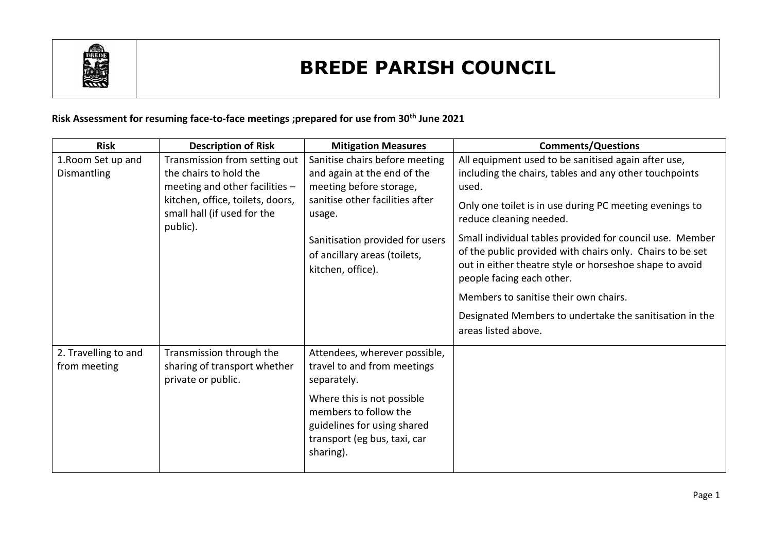

## **BREDE PARISH COUNCIL**

## **Risk Assessment for resuming face-to-face meetings ;prepared for use from 30th June 2021**

| <b>Risk</b>                          | <b>Description of Risk</b>                                                     | <b>Mitigation Measures</b>                                                                                                      | <b>Comments/Questions</b>                                                                                                                                                                                     |
|--------------------------------------|--------------------------------------------------------------------------------|---------------------------------------------------------------------------------------------------------------------------------|---------------------------------------------------------------------------------------------------------------------------------------------------------------------------------------------------------------|
| 1. Room Set up and                   | Transmission from setting out                                                  | Sanitise chairs before meeting                                                                                                  | All equipment used to be sanitised again after use,                                                                                                                                                           |
| Dismantling                          | the chairs to hold the                                                         | and again at the end of the                                                                                                     | including the chairs, tables and any other touchpoints                                                                                                                                                        |
|                                      | meeting and other facilities $-$                                               | meeting before storage,                                                                                                         | used.                                                                                                                                                                                                         |
|                                      | kitchen, office, toilets, doors,<br>small hall (if used for the<br>public).    | sanitise other facilities after<br>usage.                                                                                       | Only one toilet is in use during PC meeting evenings to<br>reduce cleaning needed.                                                                                                                            |
|                                      |                                                                                | Sanitisation provided for users<br>of ancillary areas (toilets,<br>kitchen, office).                                            | Small individual tables provided for council use. Member<br>of the public provided with chairs only. Chairs to be set<br>out in either theatre style or horseshoe shape to avoid<br>people facing each other. |
|                                      |                                                                                |                                                                                                                                 | Members to sanitise their own chairs.                                                                                                                                                                         |
|                                      |                                                                                |                                                                                                                                 | Designated Members to undertake the sanitisation in the<br>areas listed above.                                                                                                                                |
| 2. Travelling to and<br>from meeting | Transmission through the<br>sharing of transport whether<br>private or public. | Attendees, wherever possible,<br>travel to and from meetings<br>separately.                                                     |                                                                                                                                                                                                               |
|                                      |                                                                                | Where this is not possible<br>members to follow the<br>guidelines for using shared<br>transport (eg bus, taxi, car<br>sharing). |                                                                                                                                                                                                               |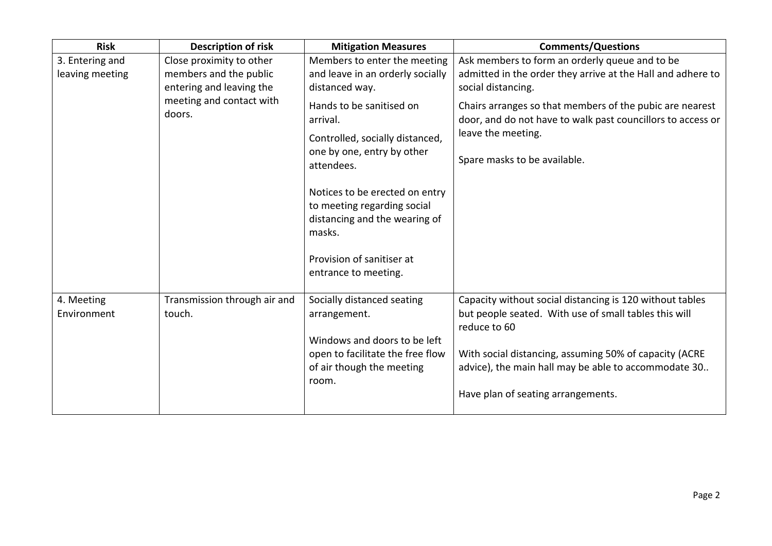| <b>Risk</b>                        | <b>Description of risk</b>                                                                                           | <b>Mitigation Measures</b>                                                                            | <b>Comments/Questions</b>                                                                                                                                                     |
|------------------------------------|----------------------------------------------------------------------------------------------------------------------|-------------------------------------------------------------------------------------------------------|-------------------------------------------------------------------------------------------------------------------------------------------------------------------------------|
| 3. Entering and<br>leaving meeting | Close proximity to other<br>members and the public<br>entering and leaving the<br>meeting and contact with<br>doors. | Members to enter the meeting<br>and leave in an orderly socially<br>distanced way.                    | Ask members to form an orderly queue and to be<br>admitted in the order they arrive at the Hall and adhere to<br>social distancing.                                           |
|                                    |                                                                                                                      | Hands to be sanitised on<br>arrival.<br>Controlled, socially distanced,<br>one by one, entry by other | Chairs arranges so that members of the pubic are nearest<br>door, and do not have to walk past councillors to access or<br>leave the meeting.<br>Spare masks to be available. |
|                                    |                                                                                                                      | attendees.<br>Notices to be erected on entry                                                          |                                                                                                                                                                               |
|                                    |                                                                                                                      | to meeting regarding social<br>distancing and the wearing of<br>masks.                                |                                                                                                                                                                               |
|                                    |                                                                                                                      | Provision of sanitiser at<br>entrance to meeting.                                                     |                                                                                                                                                                               |
| 4. Meeting<br>Environment          | Transmission through air and<br>touch.                                                                               | Socially distanced seating<br>arrangement.<br>Windows and doors to be left                            | Capacity without social distancing is 120 without tables<br>but people seated. With use of small tables this will<br>reduce to 60                                             |
|                                    |                                                                                                                      | open to facilitate the free flow<br>of air though the meeting<br>room.                                | With social distancing, assuming 50% of capacity (ACRE<br>advice), the main hall may be able to accommodate 30                                                                |
|                                    |                                                                                                                      |                                                                                                       | Have plan of seating arrangements.                                                                                                                                            |